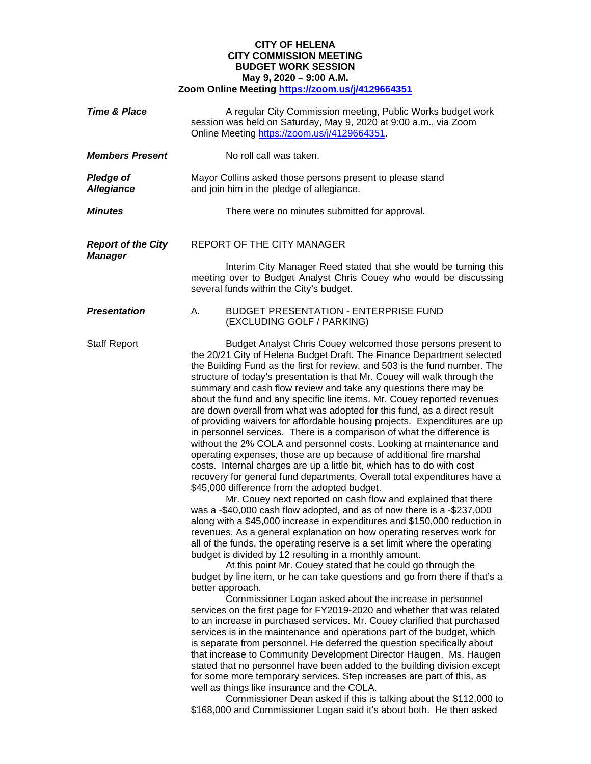## **CITY OF HELENA CITY COMMISSION MEETING BUDGET WORK SESSION May 9, 2020 – 9:00 A.M. Zoom Online Meeting<https://zoom.us/j/4129664351>**

| <b>Time &amp; Place</b>                     | A regular City Commission meeting, Public Works budget work<br>session was held on Saturday, May 9, 2020 at 9:00 a.m., via Zoom<br>Online Meeting https://zoom.us/j/4129664351.                                                                                                                                                                                                                                                                                                                                                                                                                                                                                                                                                                                                                                                                                                                                                                                                                                                                                                                                                                                                                                                                                                                                                                                                                                                                                                                                                                                                                                                                                                                                                                                                                                                                                                                                                                                                                                                                                                                                                                                                                                                                                                                                                                                                                                                                    |
|---------------------------------------------|----------------------------------------------------------------------------------------------------------------------------------------------------------------------------------------------------------------------------------------------------------------------------------------------------------------------------------------------------------------------------------------------------------------------------------------------------------------------------------------------------------------------------------------------------------------------------------------------------------------------------------------------------------------------------------------------------------------------------------------------------------------------------------------------------------------------------------------------------------------------------------------------------------------------------------------------------------------------------------------------------------------------------------------------------------------------------------------------------------------------------------------------------------------------------------------------------------------------------------------------------------------------------------------------------------------------------------------------------------------------------------------------------------------------------------------------------------------------------------------------------------------------------------------------------------------------------------------------------------------------------------------------------------------------------------------------------------------------------------------------------------------------------------------------------------------------------------------------------------------------------------------------------------------------------------------------------------------------------------------------------------------------------------------------------------------------------------------------------------------------------------------------------------------------------------------------------------------------------------------------------------------------------------------------------------------------------------------------------------------------------------------------------------------------------------------------------|
| <b>Members Present</b>                      | No roll call was taken.                                                                                                                                                                                                                                                                                                                                                                                                                                                                                                                                                                                                                                                                                                                                                                                                                                                                                                                                                                                                                                                                                                                                                                                                                                                                                                                                                                                                                                                                                                                                                                                                                                                                                                                                                                                                                                                                                                                                                                                                                                                                                                                                                                                                                                                                                                                                                                                                                            |
| <b>Pledge of</b><br><b>Allegiance</b>       | Mayor Collins asked those persons present to please stand<br>and join him in the pledge of allegiance.                                                                                                                                                                                                                                                                                                                                                                                                                                                                                                                                                                                                                                                                                                                                                                                                                                                                                                                                                                                                                                                                                                                                                                                                                                                                                                                                                                                                                                                                                                                                                                                                                                                                                                                                                                                                                                                                                                                                                                                                                                                                                                                                                                                                                                                                                                                                             |
| <b>Minutes</b>                              | There were no minutes submitted for approval.                                                                                                                                                                                                                                                                                                                                                                                                                                                                                                                                                                                                                                                                                                                                                                                                                                                                                                                                                                                                                                                                                                                                                                                                                                                                                                                                                                                                                                                                                                                                                                                                                                                                                                                                                                                                                                                                                                                                                                                                                                                                                                                                                                                                                                                                                                                                                                                                      |
| <b>Report of the City</b><br><b>Manager</b> | REPORT OF THE CITY MANAGER                                                                                                                                                                                                                                                                                                                                                                                                                                                                                                                                                                                                                                                                                                                                                                                                                                                                                                                                                                                                                                                                                                                                                                                                                                                                                                                                                                                                                                                                                                                                                                                                                                                                                                                                                                                                                                                                                                                                                                                                                                                                                                                                                                                                                                                                                                                                                                                                                         |
|                                             | Interim City Manager Reed stated that she would be turning this<br>meeting over to Budget Analyst Chris Couey who would be discussing<br>several funds within the City's budget.                                                                                                                                                                                                                                                                                                                                                                                                                                                                                                                                                                                                                                                                                                                                                                                                                                                                                                                                                                                                                                                                                                                                                                                                                                                                                                                                                                                                                                                                                                                                                                                                                                                                                                                                                                                                                                                                                                                                                                                                                                                                                                                                                                                                                                                                   |
| <b>Presentation</b>                         | Α.<br><b>BUDGET PRESENTATION - ENTERPRISE FUND</b><br>(EXCLUDING GOLF / PARKING)                                                                                                                                                                                                                                                                                                                                                                                                                                                                                                                                                                                                                                                                                                                                                                                                                                                                                                                                                                                                                                                                                                                                                                                                                                                                                                                                                                                                                                                                                                                                                                                                                                                                                                                                                                                                                                                                                                                                                                                                                                                                                                                                                                                                                                                                                                                                                                   |
| <b>Staff Report</b>                         | Budget Analyst Chris Couey welcomed those persons present to<br>the 20/21 City of Helena Budget Draft. The Finance Department selected<br>the Building Fund as the first for review, and 503 is the fund number. The<br>structure of today's presentation is that Mr. Couey will walk through the<br>summary and cash flow review and take any questions there may be<br>about the fund and any specific line items. Mr. Couey reported revenues<br>are down overall from what was adopted for this fund, as a direct result<br>of providing waivers for affordable housing projects. Expenditures are up<br>in personnel services. There is a comparison of what the difference is<br>without the 2% COLA and personnel costs. Looking at maintenance and<br>operating expenses, those are up because of additional fire marshal<br>costs. Internal charges are up a little bit, which has to do with cost<br>recovery for general fund departments. Overall total expenditures have a<br>\$45,000 difference from the adopted budget.<br>Mr. Couey next reported on cash flow and explained that there<br>was a -\$40,000 cash flow adopted, and as of now there is a -\$237,000<br>along with a \$45,000 increase in expenditures and \$150,000 reduction in<br>revenues. As a general explanation on how operating reserves work for<br>all of the funds, the operating reserve is a set limit where the operating<br>budget is divided by 12 resulting in a monthly amount.<br>At this point Mr. Couey stated that he could go through the<br>budget by line item, or he can take questions and go from there if that's a<br>better approach.<br>Commissioner Logan asked about the increase in personnel<br>services on the first page for FY2019-2020 and whether that was related<br>to an increase in purchased services. Mr. Couey clarified that purchased<br>services is in the maintenance and operations part of the budget, which<br>is separate from personnel. He deferred the question specifically about<br>that increase to Community Development Director Haugen. Ms. Haugen<br>stated that no personnel have been added to the building division except<br>for some more temporary services. Step increases are part of this, as<br>well as things like insurance and the COLA.<br>Commissioner Dean asked if this is talking about the \$112,000 to<br>\$168,000 and Commissioner Logan said it's about both. He then asked |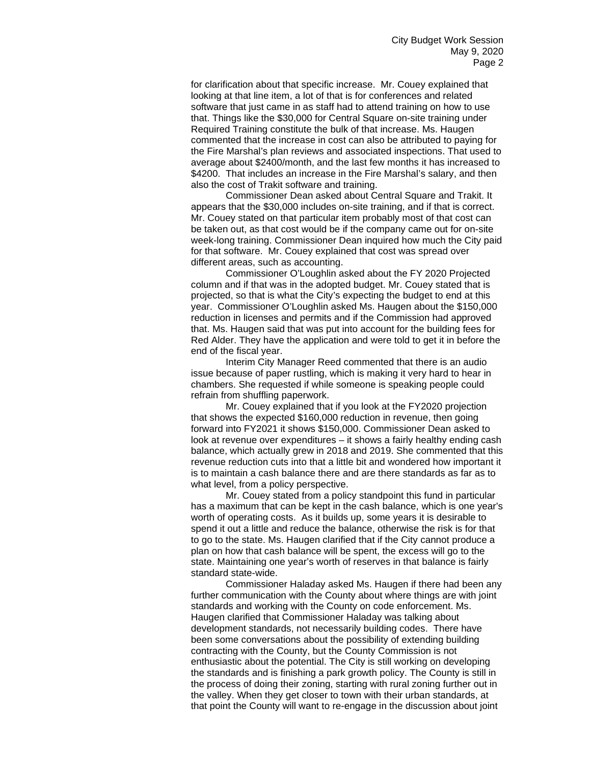for clarification about that specific increase. Mr. Couey explained that looking at that line item, a lot of that is for conferences and related software that just came in as staff had to attend training on how to use that. Things like the \$30,000 for Central Square on-site training under Required Training constitute the bulk of that increase. Ms. Haugen commented that the increase in cost can also be attributed to paying for the Fire Marshal's plan reviews and associated inspections. That used to average about \$2400/month, and the last few months it has increased to \$4200. That includes an increase in the Fire Marshal's salary, and then also the cost of Trakit software and training.

Commissioner Dean asked about Central Square and Trakit. It appears that the \$30,000 includes on-site training, and if that is correct. Mr. Couey stated on that particular item probably most of that cost can be taken out, as that cost would be if the company came out for on-site week-long training. Commissioner Dean inquired how much the City paid for that software. Mr. Couey explained that cost was spread over different areas, such as accounting.

Commissioner O'Loughlin asked about the FY 2020 Projected column and if that was in the adopted budget. Mr. Couey stated that is projected, so that is what the City's expecting the budget to end at this year. Commissioner O'Loughlin asked Ms. Haugen about the \$150,000 reduction in licenses and permits and if the Commission had approved that. Ms. Haugen said that was put into account for the building fees for Red Alder. They have the application and were told to get it in before the end of the fiscal year.

Interim City Manager Reed commented that there is an audio issue because of paper rustling, which is making it very hard to hear in chambers. She requested if while someone is speaking people could refrain from shuffling paperwork.

Mr. Couey explained that if you look at the FY2020 projection that shows the expected \$160,000 reduction in revenue, then going forward into FY2021 it shows \$150,000. Commissioner Dean asked to look at revenue over expenditures – it shows a fairly healthy ending cash balance, which actually grew in 2018 and 2019. She commented that this revenue reduction cuts into that a little bit and wondered how important it is to maintain a cash balance there and are there standards as far as to what level, from a policy perspective.

Mr. Couey stated from a policy standpoint this fund in particular has a maximum that can be kept in the cash balance, which is one year's worth of operating costs. As it builds up, some years it is desirable to spend it out a little and reduce the balance, otherwise the risk is for that to go to the state. Ms. Haugen clarified that if the City cannot produce a plan on how that cash balance will be spent, the excess will go to the state. Maintaining one year's worth of reserves in that balance is fairly standard state-wide.

Commissioner Haladay asked Ms. Haugen if there had been any further communication with the County about where things are with joint standards and working with the County on code enforcement. Ms. Haugen clarified that Commissioner Haladay was talking about development standards, not necessarily building codes. There have been some conversations about the possibility of extending building contracting with the County, but the County Commission is not enthusiastic about the potential. The City is still working on developing the standards and is finishing a park growth policy. The County is still in the process of doing their zoning, starting with rural zoning further out in the valley. When they get closer to town with their urban standards, at that point the County will want to re-engage in the discussion about joint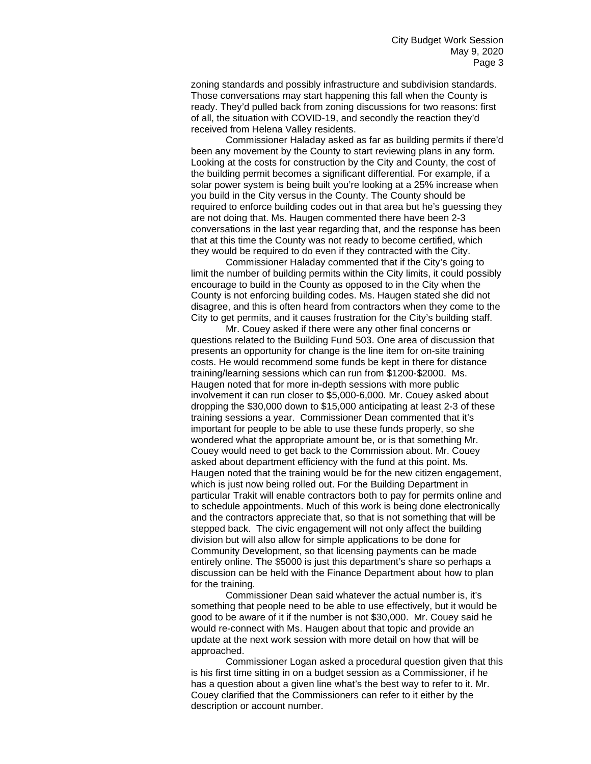zoning standards and possibly infrastructure and subdivision standards. Those conversations may start happening this fall when the County is ready. They'd pulled back from zoning discussions for two reasons: first of all, the situation with COVID-19, and secondly the reaction they'd received from Helena Valley residents.

Commissioner Haladay asked as far as building permits if there'd been any movement by the County to start reviewing plans in any form. Looking at the costs for construction by the City and County, the cost of the building permit becomes a significant differential. For example, if a solar power system is being built you're looking at a 25% increase when you build in the City versus in the County. The County should be required to enforce building codes out in that area but he's guessing they are not doing that. Ms. Haugen commented there have been 2-3 conversations in the last year regarding that, and the response has been that at this time the County was not ready to become certified, which they would be required to do even if they contracted with the City.

Commissioner Haladay commented that if the City's going to limit the number of building permits within the City limits, it could possibly encourage to build in the County as opposed to in the City when the County is not enforcing building codes. Ms. Haugen stated she did not disagree, and this is often heard from contractors when they come to the City to get permits, and it causes frustration for the City's building staff.

Mr. Couey asked if there were any other final concerns or questions related to the Building Fund 503. One area of discussion that presents an opportunity for change is the line item for on-site training costs. He would recommend some funds be kept in there for distance training/learning sessions which can run from \$1200-\$2000. Ms. Haugen noted that for more in-depth sessions with more public involvement it can run closer to \$5,000-6,000. Mr. Couey asked about dropping the \$30,000 down to \$15,000 anticipating at least 2-3 of these training sessions a year. Commissioner Dean commented that it's important for people to be able to use these funds properly, so she wondered what the appropriate amount be, or is that something Mr. Couey would need to get back to the Commission about. Mr. Couey asked about department efficiency with the fund at this point. Ms. Haugen noted that the training would be for the new citizen engagement, which is just now being rolled out. For the Building Department in particular Trakit will enable contractors both to pay for permits online and to schedule appointments. Much of this work is being done electronically and the contractors appreciate that, so that is not something that will be stepped back. The civic engagement will not only affect the building division but will also allow for simple applications to be done for Community Development, so that licensing payments can be made entirely online. The \$5000 is just this department's share so perhaps a discussion can be held with the Finance Department about how to plan for the training.

Commissioner Dean said whatever the actual number is, it's something that people need to be able to use effectively, but it would be good to be aware of it if the number is not \$30,000. Mr. Couey said he would re-connect with Ms. Haugen about that topic and provide an update at the next work session with more detail on how that will be approached.

Commissioner Logan asked a procedural question given that this is his first time sitting in on a budget session as a Commissioner, if he has a question about a given line what's the best way to refer to it. Mr. Couey clarified that the Commissioners can refer to it either by the description or account number.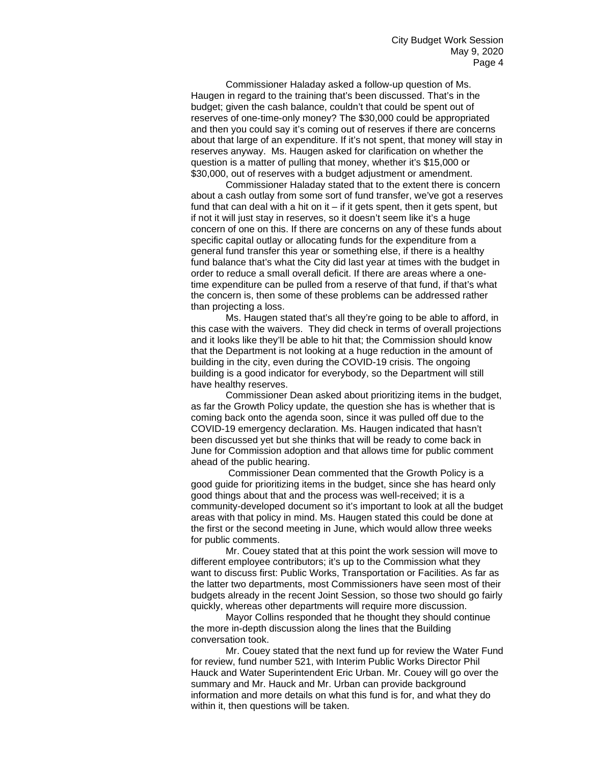Commissioner Haladay asked a follow-up question of Ms. Haugen in regard to the training that's been discussed. That's in the budget; given the cash balance, couldn't that could be spent out of reserves of one-time-only money? The \$30,000 could be appropriated and then you could say it's coming out of reserves if there are concerns about that large of an expenditure. If it's not spent, that money will stay in reserves anyway. Ms. Haugen asked for clarification on whether the question is a matter of pulling that money, whether it's \$15,000 or \$30,000, out of reserves with a budget adjustment or amendment.

Commissioner Haladay stated that to the extent there is concern about a cash outlay from some sort of fund transfer, we've got a reserves fund that can deal with a hit on it  $-$  if it gets spent, then it gets spent, but if not it will just stay in reserves, so it doesn't seem like it's a huge concern of one on this. If there are concerns on any of these funds about specific capital outlay or allocating funds for the expenditure from a general fund transfer this year or something else, if there is a healthy fund balance that's what the City did last year at times with the budget in order to reduce a small overall deficit. If there are areas where a onetime expenditure can be pulled from a reserve of that fund, if that's what the concern is, then some of these problems can be addressed rather than projecting a loss.

Ms. Haugen stated that's all they're going to be able to afford, in this case with the waivers. They did check in terms of overall projections and it looks like they'll be able to hit that; the Commission should know that the Department is not looking at a huge reduction in the amount of building in the city, even during the COVID-19 crisis. The ongoing building is a good indicator for everybody, so the Department will still have healthy reserves.

Commissioner Dean asked about prioritizing items in the budget, as far the Growth Policy update, the question she has is whether that is coming back onto the agenda soon, since it was pulled off due to the COVID-19 emergency declaration. Ms. Haugen indicated that hasn't been discussed yet but she thinks that will be ready to come back in June for Commission adoption and that allows time for public comment ahead of the public hearing.

Commissioner Dean commented that the Growth Policy is a good guide for prioritizing items in the budget, since she has heard only good things about that and the process was well-received; it is a community-developed document so it's important to look at all the budget areas with that policy in mind. Ms. Haugen stated this could be done at the first or the second meeting in June, which would allow three weeks for public comments.

Mr. Couey stated that at this point the work session will move to different employee contributors; it's up to the Commission what they want to discuss first: Public Works, Transportation or Facilities. As far as the latter two departments, most Commissioners have seen most of their budgets already in the recent Joint Session, so those two should go fairly quickly, whereas other departments will require more discussion.

Mayor Collins responded that he thought they should continue the more in-depth discussion along the lines that the Building conversation took.

Mr. Couey stated that the next fund up for review the Water Fund for review, fund number 521, with Interim Public Works Director Phil Hauck and Water Superintendent Eric Urban. Mr. Couey will go over the summary and Mr. Hauck and Mr. Urban can provide background information and more details on what this fund is for, and what they do within it, then questions will be taken.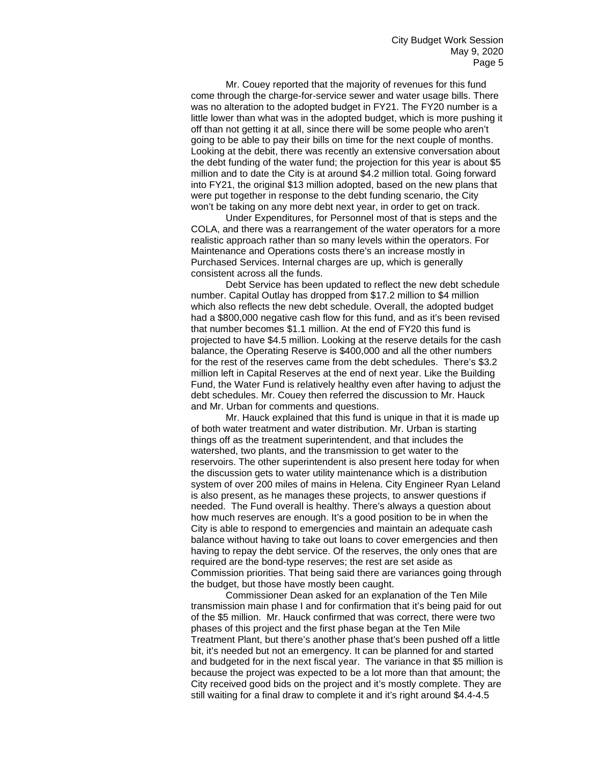Mr. Couey reported that the majority of revenues for this fund come through the charge-for-service sewer and water usage bills. There was no alteration to the adopted budget in FY21. The FY20 number is a little lower than what was in the adopted budget, which is more pushing it off than not getting it at all, since there will be some people who aren't going to be able to pay their bills on time for the next couple of months. Looking at the debit, there was recently an extensive conversation about the debt funding of the water fund; the projection for this year is about \$5 million and to date the City is at around \$4.2 million total. Going forward into FY21, the original \$13 million adopted, based on the new plans that were put together in response to the debt funding scenario, the City won't be taking on any more debt next year, in order to get on track.

Under Expenditures, for Personnel most of that is steps and the COLA, and there was a rearrangement of the water operators for a more realistic approach rather than so many levels within the operators. For Maintenance and Operations costs there's an increase mostly in Purchased Services. Internal charges are up, which is generally consistent across all the funds.

Debt Service has been updated to reflect the new debt schedule number. Capital Outlay has dropped from \$17.2 million to \$4 million which also reflects the new debt schedule. Overall, the adopted budget had a \$800,000 negative cash flow for this fund, and as it's been revised that number becomes \$1.1 million. At the end of FY20 this fund is projected to have \$4.5 million. Looking at the reserve details for the cash balance, the Operating Reserve is \$400,000 and all the other numbers for the rest of the reserves came from the debt schedules. There's \$3.2 million left in Capital Reserves at the end of next year. Like the Building Fund, the Water Fund is relatively healthy even after having to adjust the debt schedules. Mr. Couey then referred the discussion to Mr. Hauck and Mr. Urban for comments and questions.

Mr. Hauck explained that this fund is unique in that it is made up of both water treatment and water distribution. Mr. Urban is starting things off as the treatment superintendent, and that includes the watershed, two plants, and the transmission to get water to the reservoirs. The other superintendent is also present here today for when the discussion gets to water utility maintenance which is a distribution system of over 200 miles of mains in Helena. City Engineer Ryan Leland is also present, as he manages these projects, to answer questions if needed. The Fund overall is healthy. There's always a question about how much reserves are enough. It's a good position to be in when the City is able to respond to emergencies and maintain an adequate cash balance without having to take out loans to cover emergencies and then having to repay the debt service. Of the reserves, the only ones that are required are the bond-type reserves; the rest are set aside as Commission priorities. That being said there are variances going through the budget, but those have mostly been caught.

Commissioner Dean asked for an explanation of the Ten Mile transmission main phase I and for confirmation that it's being paid for out of the \$5 million. Mr. Hauck confirmed that was correct, there were two phases of this project and the first phase began at the Ten Mile Treatment Plant, but there's another phase that's been pushed off a little bit, it's needed but not an emergency. It can be planned for and started and budgeted for in the next fiscal year. The variance in that \$5 million is because the project was expected to be a lot more than that amount; the City received good bids on the project and it's mostly complete. They are still waiting for a final draw to complete it and it's right around \$4.4-4.5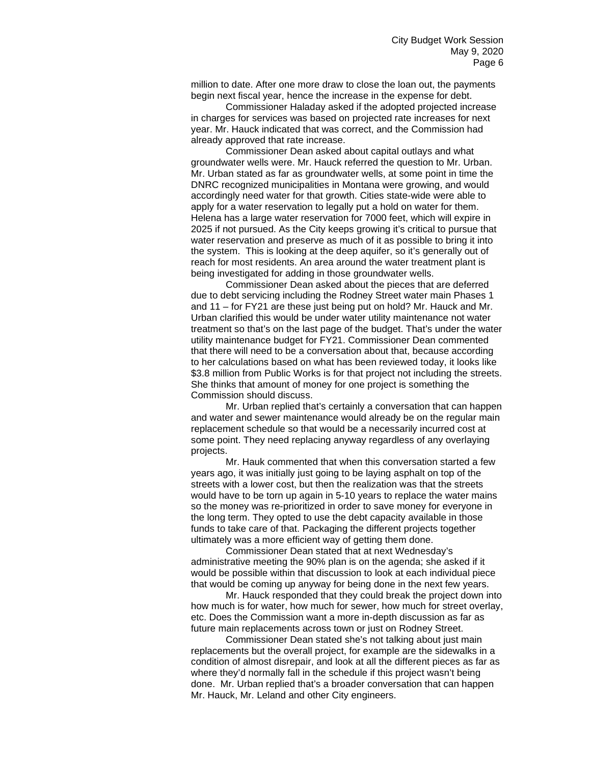million to date. After one more draw to close the loan out, the payments begin next fiscal year, hence the increase in the expense for debt.

Commissioner Haladay asked if the adopted projected increase in charges for services was based on projected rate increases for next year. Mr. Hauck indicated that was correct, and the Commission had already approved that rate increase.

Commissioner Dean asked about capital outlays and what groundwater wells were. Mr. Hauck referred the question to Mr. Urban. Mr. Urban stated as far as groundwater wells, at some point in time the DNRC recognized municipalities in Montana were growing, and would accordingly need water for that growth. Cities state-wide were able to apply for a water reservation to legally put a hold on water for them. Helena has a large water reservation for 7000 feet, which will expire in 2025 if not pursued. As the City keeps growing it's critical to pursue that water reservation and preserve as much of it as possible to bring it into the system. This is looking at the deep aquifer, so it's generally out of reach for most residents. An area around the water treatment plant is being investigated for adding in those groundwater wells.

Commissioner Dean asked about the pieces that are deferred due to debt servicing including the Rodney Street water main Phases 1 and 11 – for FY21 are these just being put on hold? Mr. Hauck and Mr. Urban clarified this would be under water utility maintenance not water treatment so that's on the last page of the budget. That's under the water utility maintenance budget for FY21. Commissioner Dean commented that there will need to be a conversation about that, because according to her calculations based on what has been reviewed today, it looks like \$3.8 million from Public Works is for that project not including the streets. She thinks that amount of money for one project is something the Commission should discuss.

Mr. Urban replied that's certainly a conversation that can happen and water and sewer maintenance would already be on the regular main replacement schedule so that would be a necessarily incurred cost at some point. They need replacing anyway regardless of any overlaying projects.

Mr. Hauk commented that when this conversation started a few years ago, it was initially just going to be laying asphalt on top of the streets with a lower cost, but then the realization was that the streets would have to be torn up again in 5-10 years to replace the water mains so the money was re-prioritized in order to save money for everyone in the long term. They opted to use the debt capacity available in those funds to take care of that. Packaging the different projects together ultimately was a more efficient way of getting them done.

Commissioner Dean stated that at next Wednesday's administrative meeting the 90% plan is on the agenda; she asked if it would be possible within that discussion to look at each individual piece that would be coming up anyway for being done in the next few years.

Mr. Hauck responded that they could break the project down into how much is for water, how much for sewer, how much for street overlay, etc. Does the Commission want a more in-depth discussion as far as future main replacements across town or just on Rodney Street.

Commissioner Dean stated she's not talking about just main replacements but the overall project, for example are the sidewalks in a condition of almost disrepair, and look at all the different pieces as far as where they'd normally fall in the schedule if this project wasn't being done. Mr. Urban replied that's a broader conversation that can happen Mr. Hauck, Mr. Leland and other City engineers.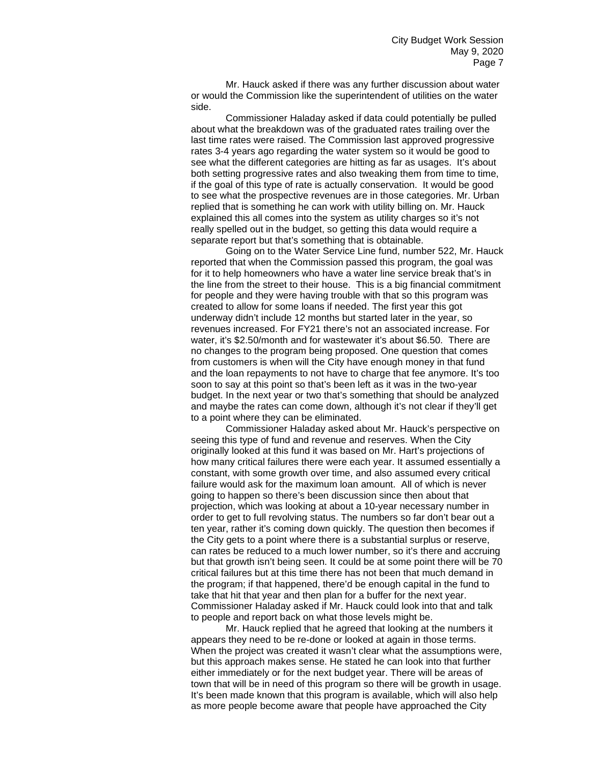Mr. Hauck asked if there was any further discussion about water or would the Commission like the superintendent of utilities on the water side.

Commissioner Haladay asked if data could potentially be pulled about what the breakdown was of the graduated rates trailing over the last time rates were raised. The Commission last approved progressive rates 3-4 years ago regarding the water system so it would be good to see what the different categories are hitting as far as usages. It's about both setting progressive rates and also tweaking them from time to time, if the goal of this type of rate is actually conservation. It would be good to see what the prospective revenues are in those categories. Mr. Urban replied that is something he can work with utility billing on. Mr. Hauck explained this all comes into the system as utility charges so it's not really spelled out in the budget, so getting this data would require a separate report but that's something that is obtainable.

Going on to the Water Service Line fund, number 522, Mr. Hauck reported that when the Commission passed this program, the goal was for it to help homeowners who have a water line service break that's in the line from the street to their house. This is a big financial commitment for people and they were having trouble with that so this program was created to allow for some loans if needed. The first year this got underway didn't include 12 months but started later in the year, so revenues increased. For FY21 there's not an associated increase. For water, it's \$2.50/month and for wastewater it's about \$6.50. There are no changes to the program being proposed. One question that comes from customers is when will the City have enough money in that fund and the loan repayments to not have to charge that fee anymore. It's too soon to say at this point so that's been left as it was in the two-year budget. In the next year or two that's something that should be analyzed and maybe the rates can come down, although it's not clear if they'll get to a point where they can be eliminated.

Commissioner Haladay asked about Mr. Hauck's perspective on seeing this type of fund and revenue and reserves. When the City originally looked at this fund it was based on Mr. Hart's projections of how many critical failures there were each year. It assumed essentially a constant, with some growth over time, and also assumed every critical failure would ask for the maximum loan amount. All of which is never going to happen so there's been discussion since then about that projection, which was looking at about a 10-year necessary number in order to get to full revolving status. The numbers so far don't bear out a ten year, rather it's coming down quickly. The question then becomes if the City gets to a point where there is a substantial surplus or reserve, can rates be reduced to a much lower number, so it's there and accruing but that growth isn't being seen. It could be at some point there will be 70 critical failures but at this time there has not been that much demand in the program; if that happened, there'd be enough capital in the fund to take that hit that year and then plan for a buffer for the next year. Commissioner Haladay asked if Mr. Hauck could look into that and talk to people and report back on what those levels might be.

Mr. Hauck replied that he agreed that looking at the numbers it appears they need to be re-done or looked at again in those terms. When the project was created it wasn't clear what the assumptions were, but this approach makes sense. He stated he can look into that further either immediately or for the next budget year. There will be areas of town that will be in need of this program so there will be growth in usage. It's been made known that this program is available, which will also help as more people become aware that people have approached the City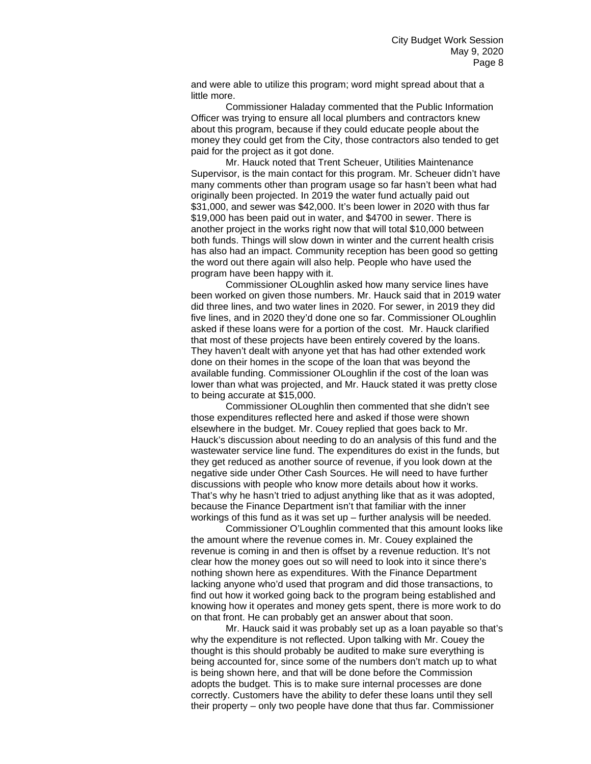and were able to utilize this program; word might spread about that a little more.

Commissioner Haladay commented that the Public Information Officer was trying to ensure all local plumbers and contractors knew about this program, because if they could educate people about the money they could get from the City, those contractors also tended to get paid for the project as it got done.

Mr. Hauck noted that Trent Scheuer, Utilities Maintenance Supervisor, is the main contact for this program. Mr. Scheuer didn't have many comments other than program usage so far hasn't been what had originally been projected. In 2019 the water fund actually paid out \$31,000, and sewer was \$42,000. It's been lower in 2020 with thus far \$19,000 has been paid out in water, and \$4700 in sewer. There is another project in the works right now that will total \$10,000 between both funds. Things will slow down in winter and the current health crisis has also had an impact. Community reception has been good so getting the word out there again will also help. People who have used the program have been happy with it.

Commissioner OLoughlin asked how many service lines have been worked on given those numbers. Mr. Hauck said that in 2019 water did three lines, and two water lines in 2020. For sewer, in 2019 they did five lines, and in 2020 they'd done one so far. Commissioner OLoughlin asked if these loans were for a portion of the cost. Mr. Hauck clarified that most of these projects have been entirely covered by the loans. They haven't dealt with anyone yet that has had other extended work done on their homes in the scope of the loan that was beyond the available funding. Commissioner OLoughlin if the cost of the loan was lower than what was projected, and Mr. Hauck stated it was pretty close to being accurate at \$15,000.

Commissioner OLoughlin then commented that she didn't see those expenditures reflected here and asked if those were shown elsewhere in the budget. Mr. Couey replied that goes back to Mr. Hauck's discussion about needing to do an analysis of this fund and the wastewater service line fund. The expenditures do exist in the funds, but they get reduced as another source of revenue, if you look down at the negative side under Other Cash Sources. He will need to have further discussions with people who know more details about how it works. That's why he hasn't tried to adjust anything like that as it was adopted, because the Finance Department isn't that familiar with the inner workings of this fund as it was set up – further analysis will be needed.

Commissioner O'Loughlin commented that this amount looks like the amount where the revenue comes in. Mr. Couey explained the revenue is coming in and then is offset by a revenue reduction. It's not clear how the money goes out so will need to look into it since there's nothing shown here as expenditures. With the Finance Department lacking anyone who'd used that program and did those transactions, to find out how it worked going back to the program being established and knowing how it operates and money gets spent, there is more work to do on that front. He can probably get an answer about that soon.

Mr. Hauck said it was probably set up as a loan payable so that's why the expenditure is not reflected. Upon talking with Mr. Couey the thought is this should probably be audited to make sure everything is being accounted for, since some of the numbers don't match up to what is being shown here, and that will be done before the Commission adopts the budget. This is to make sure internal processes are done correctly. Customers have the ability to defer these loans until they sell their property – only two people have done that thus far. Commissioner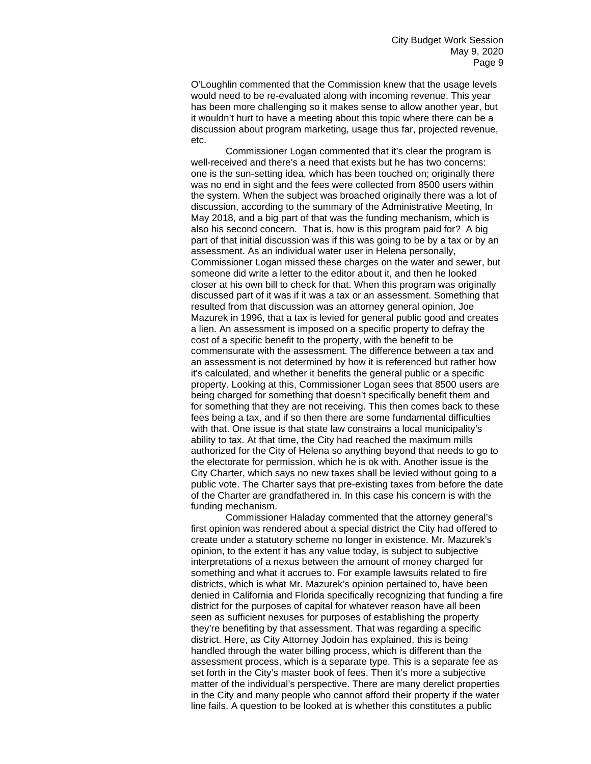O'Loughlin commented that the Commission knew that the usage levels would need to be re-evaluated along with incoming revenue. This year has been more challenging so it makes sense to allow another year, but it wouldn't hurt to have a meeting about this topic where there can be a discussion about program marketing, usage thus far, projected revenue, etc.

Commissioner Logan commented that it's clear the program is well-received and there's a need that exists but he has two concerns: one is the sun-setting idea, which has been touched on; originally there was no end in sight and the fees were collected from 8500 users within the system. When the subject was broached originally there was a lot of discussion, according to the summary of the Administrative Meeting, In May 2018, and a big part of that was the funding mechanism, which is also his second concern. That is, how is this program paid for? A big part of that initial discussion was if this was going to be by a tax or by an assessment. As an individual water user in Helena personally, Commissioner Logan missed these charges on the water and sewer, but someone did write a letter to the editor about it, and then he looked closer at his own bill to check for that. When this program was originally discussed part of it was if it was a tax or an assessment. Something that resulted from that discussion was an attorney general opinion, Joe Mazurek in 1996, that a tax is levied for general public good and creates a lien. An assessment is imposed on a specific property to defray the cost of a specific benefit to the property, with the benefit to be commensurate with the assessment. The difference between a tax and an assessment is not determined by how it is referenced but rather how it's calculated, and whether it benefits the general public or a specific property. Looking at this, Commissioner Logan sees that 8500 users are being charged for something that doesn't specifically benefit them and for something that they are not receiving. This then comes back to these fees being a tax, and if so then there are some fundamental difficulties with that. One issue is that state law constrains a local municipality's ability to tax. At that time, the City had reached the maximum mills authorized for the City of Helena so anything beyond that needs to go to the electorate for permission, which he is ok with. Another issue is the City Charter, which says no new taxes shall be levied without going to a public vote. The Charter says that pre-existing taxes from before the date of the Charter are grandfathered in. In this case his concern is with the funding mechanism.

Commissioner Haladay commented that the attorney general's first opinion was rendered about a special district the City had offered to create under a statutory scheme no longer in existence. Mr. Mazurek's opinion, to the extent it has any value today, is subject to subjective interpretations of a nexus between the amount of money charged for something and what it accrues to. For example lawsuits related to fire districts, which is what Mr. Mazurek's opinion pertained to, have been denied in California and Florida specifically recognizing that funding a fire district for the purposes of capital for whatever reason have all been seen as sufficient nexuses for purposes of establishing the property they're benefiting by that assessment. That was regarding a specific district. Here, as City Attorney Jodoin has explained, this is being handled through the water billing process, which is different than the assessment process, which is a separate type. This is a separate fee as set forth in the City's master book of fees. Then it's more a subjective matter of the individual's perspective. There are many derelict properties in the City and many people who cannot afford their property if the water line fails. A question to be looked at is whether this constitutes a public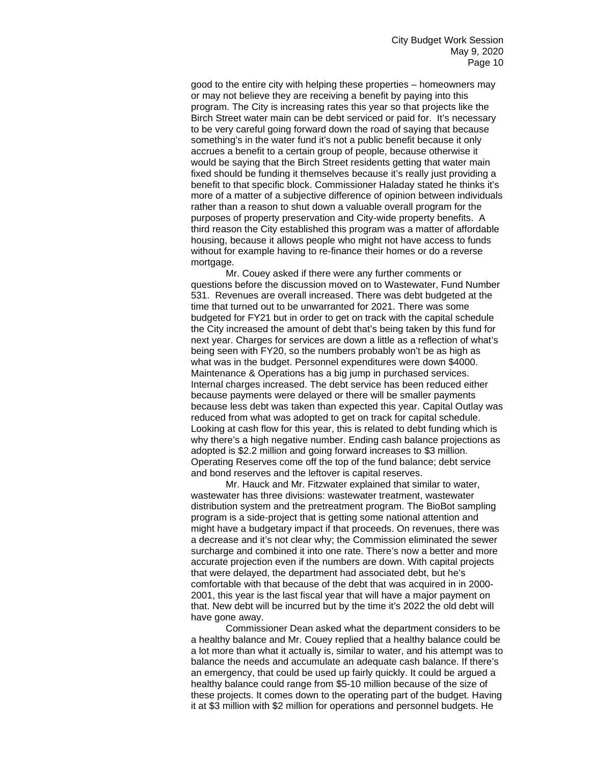good to the entire city with helping these properties – homeowners may or may not believe they are receiving a benefit by paying into this program. The City is increasing rates this year so that projects like the Birch Street water main can be debt serviced or paid for. It's necessary to be very careful going forward down the road of saying that because something's in the water fund it's not a public benefit because it only accrues a benefit to a certain group of people, because otherwise it would be saying that the Birch Street residents getting that water main fixed should be funding it themselves because it's really just providing a benefit to that specific block. Commissioner Haladay stated he thinks it's more of a matter of a subjective difference of opinion between individuals rather than a reason to shut down a valuable overall program for the purposes of property preservation and City-wide property benefits. A third reason the City established this program was a matter of affordable housing, because it allows people who might not have access to funds without for example having to re-finance their homes or do a reverse mortgage.

Mr. Couey asked if there were any further comments or questions before the discussion moved on to Wastewater, Fund Number 531. Revenues are overall increased. There was debt budgeted at the time that turned out to be unwarranted for 2021. There was some budgeted for FY21 but in order to get on track with the capital schedule the City increased the amount of debt that's being taken by this fund for next year. Charges for services are down a little as a reflection of what's being seen with FY20, so the numbers probably won't be as high as what was in the budget. Personnel expenditures were down \$4000. Maintenance & Operations has a big jump in purchased services. Internal charges increased. The debt service has been reduced either because payments were delayed or there will be smaller payments because less debt was taken than expected this year. Capital Outlay was reduced from what was adopted to get on track for capital schedule. Looking at cash flow for this year, this is related to debt funding which is why there's a high negative number. Ending cash balance projections as adopted is \$2.2 million and going forward increases to \$3 million. Operating Reserves come off the top of the fund balance; debt service and bond reserves and the leftover is capital reserves.

Mr. Hauck and Mr. Fitzwater explained that similar to water, wastewater has three divisions: wastewater treatment, wastewater distribution system and the pretreatment program. The BioBot sampling program is a side-project that is getting some national attention and might have a budgetary impact if that proceeds. On revenues, there was a decrease and it's not clear why; the Commission eliminated the sewer surcharge and combined it into one rate. There's now a better and more accurate projection even if the numbers are down. With capital projects that were delayed, the department had associated debt, but he's comfortable with that because of the debt that was acquired in in 2000- 2001, this year is the last fiscal year that will have a major payment on that. New debt will be incurred but by the time it's 2022 the old debt will have gone away.

Commissioner Dean asked what the department considers to be a healthy balance and Mr. Couey replied that a healthy balance could be a lot more than what it actually is, similar to water, and his attempt was to balance the needs and accumulate an adequate cash balance. If there's an emergency, that could be used up fairly quickly. It could be argued a healthy balance could range from \$5-10 million because of the size of these projects. It comes down to the operating part of the budget. Having it at \$3 million with \$2 million for operations and personnel budgets. He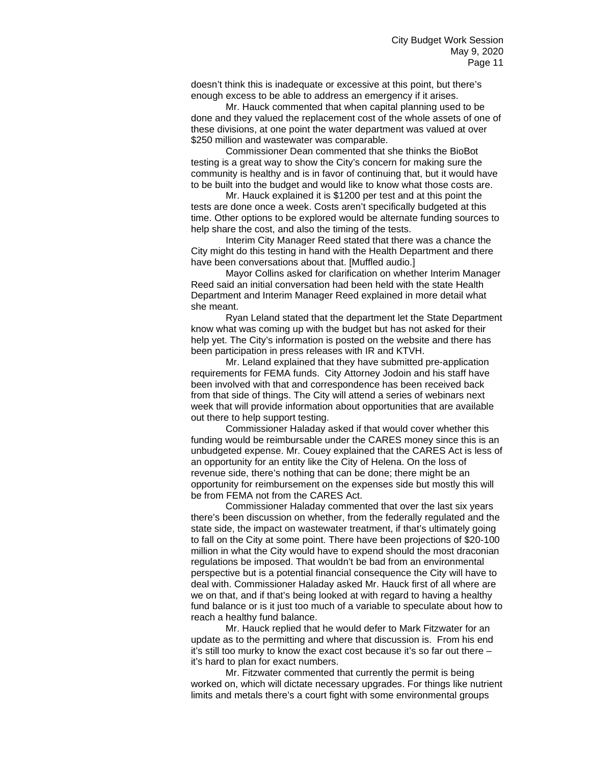doesn't think this is inadequate or excessive at this point, but there's enough excess to be able to address an emergency if it arises.

Mr. Hauck commented that when capital planning used to be done and they valued the replacement cost of the whole assets of one of these divisions, at one point the water department was valued at over \$250 million and wastewater was comparable.

Commissioner Dean commented that she thinks the BioBot testing is a great way to show the City's concern for making sure the community is healthy and is in favor of continuing that, but it would have to be built into the budget and would like to know what those costs are.

Mr. Hauck explained it is \$1200 per test and at this point the tests are done once a week. Costs aren't specifically budgeted at this time. Other options to be explored would be alternate funding sources to help share the cost, and also the timing of the tests.

Interim City Manager Reed stated that there was a chance the City might do this testing in hand with the Health Department and there have been conversations about that. [Muffled audio.]

Mayor Collins asked for clarification on whether Interim Manager Reed said an initial conversation had been held with the state Health Department and Interim Manager Reed explained in more detail what she meant.

Ryan Leland stated that the department let the State Department know what was coming up with the budget but has not asked for their help yet. The City's information is posted on the website and there has been participation in press releases with IR and KTVH.

Mr. Leland explained that they have submitted pre-application requirements for FEMA funds. City Attorney Jodoin and his staff have been involved with that and correspondence has been received back from that side of things. The City will attend a series of webinars next week that will provide information about opportunities that are available out there to help support testing.

Commissioner Haladay asked if that would cover whether this funding would be reimbursable under the CARES money since this is an unbudgeted expense. Mr. Couey explained that the CARES Act is less of an opportunity for an entity like the City of Helena. On the loss of revenue side, there's nothing that can be done; there might be an opportunity for reimbursement on the expenses side but mostly this will be from FEMA not from the CARES Act.

Commissioner Haladay commented that over the last six years there's been discussion on whether, from the federally regulated and the state side, the impact on wastewater treatment, if that's ultimately going to fall on the City at some point. There have been projections of \$20-100 million in what the City would have to expend should the most draconian regulations be imposed. That wouldn't be bad from an environmental perspective but is a potential financial consequence the City will have to deal with. Commissioner Haladay asked Mr. Hauck first of all where are we on that, and if that's being looked at with regard to having a healthy fund balance or is it just too much of a variable to speculate about how to reach a healthy fund balance.

Mr. Hauck replied that he would defer to Mark Fitzwater for an update as to the permitting and where that discussion is. From his end it's still too murky to know the exact cost because it's so far out there – it's hard to plan for exact numbers.

Mr. Fitzwater commented that currently the permit is being worked on, which will dictate necessary upgrades. For things like nutrient limits and metals there's a court fight with some environmental groups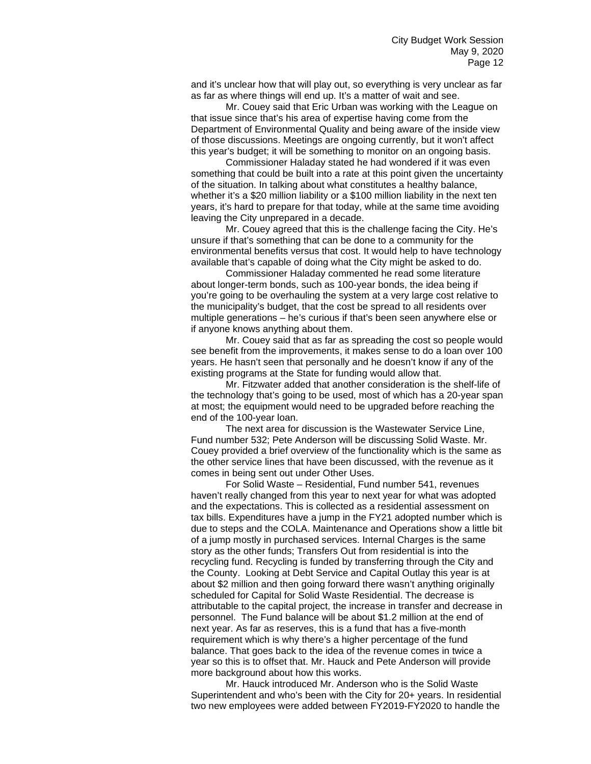and it's unclear how that will play out, so everything is very unclear as far as far as where things will end up. It's a matter of wait and see.

Mr. Couey said that Eric Urban was working with the League on that issue since that's his area of expertise having come from the Department of Environmental Quality and being aware of the inside view of those discussions. Meetings are ongoing currently, but it won't affect this year's budget; it will be something to monitor on an ongoing basis.

Commissioner Haladay stated he had wondered if it was even something that could be built into a rate at this point given the uncertainty of the situation. In talking about what constitutes a healthy balance, whether it's a \$20 million liability or a \$100 million liability in the next ten years, it's hard to prepare for that today, while at the same time avoiding leaving the City unprepared in a decade.

Mr. Couey agreed that this is the challenge facing the City. He's unsure if that's something that can be done to a community for the environmental benefits versus that cost. It would help to have technology available that's capable of doing what the City might be asked to do.

Commissioner Haladay commented he read some literature about longer-term bonds, such as 100-year bonds, the idea being if you're going to be overhauling the system at a very large cost relative to the municipality's budget, that the cost be spread to all residents over multiple generations – he's curious if that's been seen anywhere else or if anyone knows anything about them.

Mr. Couey said that as far as spreading the cost so people would see benefit from the improvements, it makes sense to do a loan over 100 years. He hasn't seen that personally and he doesn't know if any of the existing programs at the State for funding would allow that.

Mr. Fitzwater added that another consideration is the shelf-life of the technology that's going to be used, most of which has a 20-year span at most; the equipment would need to be upgraded before reaching the end of the 100-year loan.

The next area for discussion is the Wastewater Service Line, Fund number 532; Pete Anderson will be discussing Solid Waste. Mr. Couey provided a brief overview of the functionality which is the same as the other service lines that have been discussed, with the revenue as it comes in being sent out under Other Uses.

For Solid Waste – Residential, Fund number 541, revenues haven't really changed from this year to next year for what was adopted and the expectations. This is collected as a residential assessment on tax bills. Expenditures have a jump in the FY21 adopted number which is due to steps and the COLA. Maintenance and Operations show a little bit of a jump mostly in purchased services. Internal Charges is the same story as the other funds; Transfers Out from residential is into the recycling fund. Recycling is funded by transferring through the City and the County. Looking at Debt Service and Capital Outlay this year is at about \$2 million and then going forward there wasn't anything originally scheduled for Capital for Solid Waste Residential. The decrease is attributable to the capital project, the increase in transfer and decrease in personnel. The Fund balance will be about \$1.2 million at the end of next year. As far as reserves, this is a fund that has a five-month requirement which is why there's a higher percentage of the fund balance. That goes back to the idea of the revenue comes in twice a year so this is to offset that. Mr. Hauck and Pete Anderson will provide more background about how this works.

Mr. Hauck introduced Mr. Anderson who is the Solid Waste Superintendent and who's been with the City for 20+ years. In residential two new employees were added between FY2019-FY2020 to handle the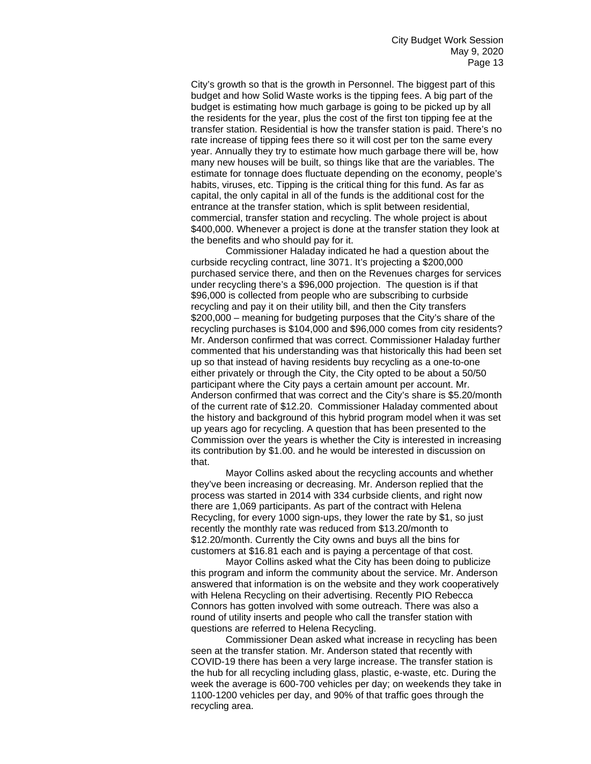City's growth so that is the growth in Personnel. The biggest part of this budget and how Solid Waste works is the tipping fees. A big part of the budget is estimating how much garbage is going to be picked up by all the residents for the year, plus the cost of the first ton tipping fee at the transfer station. Residential is how the transfer station is paid. There's no rate increase of tipping fees there so it will cost per ton the same every year. Annually they try to estimate how much garbage there will be, how many new houses will be built, so things like that are the variables. The estimate for tonnage does fluctuate depending on the economy, people's habits, viruses, etc. Tipping is the critical thing for this fund. As far as capital, the only capital in all of the funds is the additional cost for the entrance at the transfer station, which is split between residential, commercial, transfer station and recycling. The whole project is about \$400,000. Whenever a project is done at the transfer station they look at the benefits and who should pay for it.

Commissioner Haladay indicated he had a question about the curbside recycling contract, line 3071. It's projecting a \$200,000 purchased service there, and then on the Revenues charges for services under recycling there's a \$96,000 projection. The question is if that \$96,000 is collected from people who are subscribing to curbside recycling and pay it on their utility bill, and then the City transfers \$200,000 – meaning for budgeting purposes that the City's share of the recycling purchases is \$104,000 and \$96,000 comes from city residents? Mr. Anderson confirmed that was correct. Commissioner Haladay further commented that his understanding was that historically this had been set up so that instead of having residents buy recycling as a one-to-one either privately or through the City, the City opted to be about a 50/50 participant where the City pays a certain amount per account. Mr. Anderson confirmed that was correct and the City's share is \$5.20/month of the current rate of \$12.20. Commissioner Haladay commented about the history and background of this hybrid program model when it was set up years ago for recycling. A question that has been presented to the Commission over the years is whether the City is interested in increasing its contribution by \$1.00. and he would be interested in discussion on that.

Mayor Collins asked about the recycling accounts and whether they've been increasing or decreasing. Mr. Anderson replied that the process was started in 2014 with 334 curbside clients, and right now there are 1,069 participants. As part of the contract with Helena Recycling, for every 1000 sign-ups, they lower the rate by \$1, so just recently the monthly rate was reduced from \$13.20/month to \$12.20/month. Currently the City owns and buys all the bins for customers at \$16.81 each and is paying a percentage of that cost.

Mayor Collins asked what the City has been doing to publicize this program and inform the community about the service. Mr. Anderson answered that information is on the website and they work cooperatively with Helena Recycling on their advertising. Recently PIO Rebecca Connors has gotten involved with some outreach. There was also a round of utility inserts and people who call the transfer station with questions are referred to Helena Recycling.

Commissioner Dean asked what increase in recycling has been seen at the transfer station. Mr. Anderson stated that recently with COVID-19 there has been a very large increase. The transfer station is the hub for all recycling including glass, plastic, e-waste, etc. During the week the average is 600-700 vehicles per day; on weekends they take in 1100-1200 vehicles per day, and 90% of that traffic goes through the recycling area.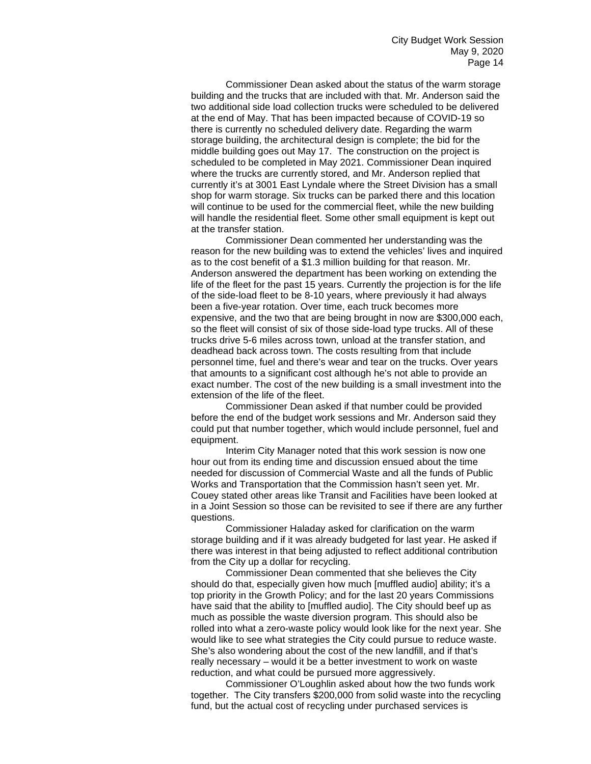Commissioner Dean asked about the status of the warm storage building and the trucks that are included with that. Mr. Anderson said the two additional side load collection trucks were scheduled to be delivered at the end of May. That has been impacted because of COVID-19 so there is currently no scheduled delivery date. Regarding the warm storage building, the architectural design is complete; the bid for the middle building goes out May 17. The construction on the project is scheduled to be completed in May 2021. Commissioner Dean inquired where the trucks are currently stored, and Mr. Anderson replied that currently it's at 3001 East Lyndale where the Street Division has a small shop for warm storage. Six trucks can be parked there and this location will continue to be used for the commercial fleet, while the new building will handle the residential fleet. Some other small equipment is kept out at the transfer station.

Commissioner Dean commented her understanding was the reason for the new building was to extend the vehicles' lives and inquired as to the cost benefit of a \$1.3 million building for that reason. Mr. Anderson answered the department has been working on extending the life of the fleet for the past 15 years. Currently the projection is for the life of the side-load fleet to be 8-10 years, where previously it had always been a five-year rotation. Over time, each truck becomes more expensive, and the two that are being brought in now are \$300,000 each, so the fleet will consist of six of those side-load type trucks. All of these trucks drive 5-6 miles across town, unload at the transfer station, and deadhead back across town. The costs resulting from that include personnel time, fuel and there's wear and tear on the trucks. Over years that amounts to a significant cost although he's not able to provide an exact number. The cost of the new building is a small investment into the extension of the life of the fleet.

Commissioner Dean asked if that number could be provided before the end of the budget work sessions and Mr. Anderson said they could put that number together, which would include personnel, fuel and equipment.

Interim City Manager noted that this work session is now one hour out from its ending time and discussion ensued about the time needed for discussion of Commercial Waste and all the funds of Public Works and Transportation that the Commission hasn't seen yet. Mr. Couey stated other areas like Transit and Facilities have been looked at in a Joint Session so those can be revisited to see if there are any further questions.

Commissioner Haladay asked for clarification on the warm storage building and if it was already budgeted for last year. He asked if there was interest in that being adjusted to reflect additional contribution from the City up a dollar for recycling.

Commissioner Dean commented that she believes the City should do that, especially given how much [muffled audio] ability; it's a top priority in the Growth Policy; and for the last 20 years Commissions have said that the ability to [muffled audio]. The City should beef up as much as possible the waste diversion program. This should also be rolled into what a zero-waste policy would look like for the next year. She would like to see what strategies the City could pursue to reduce waste. She's also wondering about the cost of the new landfill, and if that's really necessary – would it be a better investment to work on waste reduction, and what could be pursued more aggressively.

Commissioner O'Loughlin asked about how the two funds work together. The City transfers \$200,000 from solid waste into the recycling fund, but the actual cost of recycling under purchased services is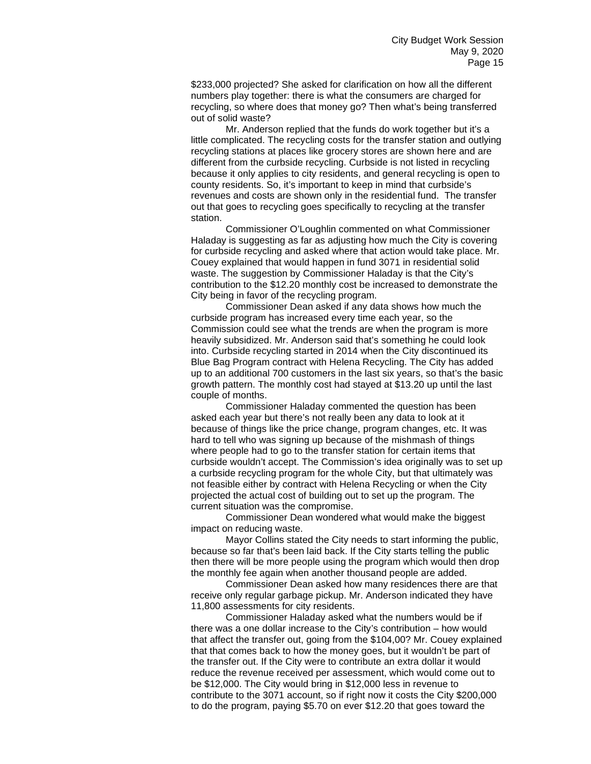\$233,000 projected? She asked for clarification on how all the different numbers play together: there is what the consumers are charged for recycling, so where does that money go? Then what's being transferred out of solid waste?

Mr. Anderson replied that the funds do work together but it's a little complicated. The recycling costs for the transfer station and outlying recycling stations at places like grocery stores are shown here and are different from the curbside recycling. Curbside is not listed in recycling because it only applies to city residents, and general recycling is open to county residents. So, it's important to keep in mind that curbside's revenues and costs are shown only in the residential fund. The transfer out that goes to recycling goes specifically to recycling at the transfer station.

Commissioner O'Loughlin commented on what Commissioner Haladay is suggesting as far as adjusting how much the City is covering for curbside recycling and asked where that action would take place. Mr. Couey explained that would happen in fund 3071 in residential solid waste. The suggestion by Commissioner Haladay is that the City's contribution to the \$12.20 monthly cost be increased to demonstrate the City being in favor of the recycling program.

Commissioner Dean asked if any data shows how much the curbside program has increased every time each year, so the Commission could see what the trends are when the program is more heavily subsidized. Mr. Anderson said that's something he could look into. Curbside recycling started in 2014 when the City discontinued its Blue Bag Program contract with Helena Recycling. The City has added up to an additional 700 customers in the last six years, so that's the basic growth pattern. The monthly cost had stayed at \$13.20 up until the last couple of months.

Commissioner Haladay commented the question has been asked each year but there's not really been any data to look at it because of things like the price change, program changes, etc. It was hard to tell who was signing up because of the mishmash of things where people had to go to the transfer station for certain items that curbside wouldn't accept. The Commission's idea originally was to set up a curbside recycling program for the whole City, but that ultimately was not feasible either by contract with Helena Recycling or when the City projected the actual cost of building out to set up the program. The current situation was the compromise.

Commissioner Dean wondered what would make the biggest impact on reducing waste.

Mayor Collins stated the City needs to start informing the public, because so far that's been laid back. If the City starts telling the public then there will be more people using the program which would then drop the monthly fee again when another thousand people are added.

Commissioner Dean asked how many residences there are that receive only regular garbage pickup. Mr. Anderson indicated they have 11,800 assessments for city residents.

Commissioner Haladay asked what the numbers would be if there was a one dollar increase to the City's contribution – how would that affect the transfer out, going from the \$104,00? Mr. Couey explained that that comes back to how the money goes, but it wouldn't be part of the transfer out. If the City were to contribute an extra dollar it would reduce the revenue received per assessment, which would come out to be \$12,000. The City would bring in \$12,000 less in revenue to contribute to the 3071 account, so if right now it costs the City \$200,000 to do the program, paying \$5.70 on ever \$12.20 that goes toward the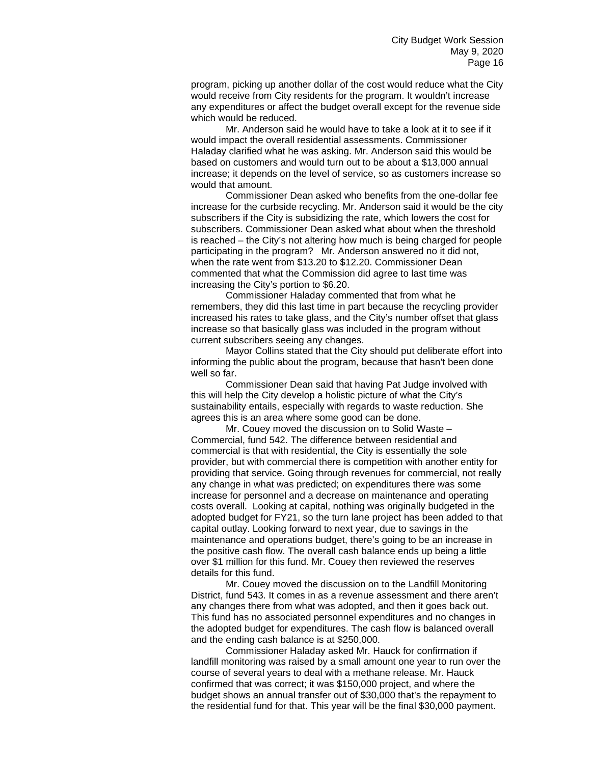program, picking up another dollar of the cost would reduce what the City would receive from City residents for the program. It wouldn't increase any expenditures or affect the budget overall except for the revenue side which would be reduced.

Mr. Anderson said he would have to take a look at it to see if it would impact the overall residential assessments. Commissioner Haladay clarified what he was asking. Mr. Anderson said this would be based on customers and would turn out to be about a \$13,000 annual increase; it depends on the level of service, so as customers increase so would that amount.

Commissioner Dean asked who benefits from the one-dollar fee increase for the curbside recycling. Mr. Anderson said it would be the city subscribers if the City is subsidizing the rate, which lowers the cost for subscribers. Commissioner Dean asked what about when the threshold is reached – the City's not altering how much is being charged for people participating in the program? Mr. Anderson answered no it did not, when the rate went from \$13.20 to \$12.20. Commissioner Dean commented that what the Commission did agree to last time was increasing the City's portion to \$6.20.

Commissioner Haladay commented that from what he remembers, they did this last time in part because the recycling provider increased his rates to take glass, and the City's number offset that glass increase so that basically glass was included in the program without current subscribers seeing any changes.

Mayor Collins stated that the City should put deliberate effort into informing the public about the program, because that hasn't been done well so far.

Commissioner Dean said that having Pat Judge involved with this will help the City develop a holistic picture of what the City's sustainability entails, especially with regards to waste reduction. She agrees this is an area where some good can be done.

Mr. Couey moved the discussion on to Solid Waste – Commercial, fund 542. The difference between residential and commercial is that with residential, the City is essentially the sole provider, but with commercial there is competition with another entity for providing that service. Going through revenues for commercial, not really any change in what was predicted; on expenditures there was some increase for personnel and a decrease on maintenance and operating costs overall. Looking at capital, nothing was originally budgeted in the adopted budget for FY21, so the turn lane project has been added to that capital outlay. Looking forward to next year, due to savings in the maintenance and operations budget, there's going to be an increase in the positive cash flow. The overall cash balance ends up being a little over \$1 million for this fund. Mr. Couey then reviewed the reserves details for this fund.

Mr. Couey moved the discussion on to the Landfill Monitoring District, fund 543. It comes in as a revenue assessment and there aren't any changes there from what was adopted, and then it goes back out. This fund has no associated personnel expenditures and no changes in the adopted budget for expenditures. The cash flow is balanced overall and the ending cash balance is at \$250,000.

Commissioner Haladay asked Mr. Hauck for confirmation if landfill monitoring was raised by a small amount one year to run over the course of several years to deal with a methane release. Mr. Hauck confirmed that was correct; it was \$150,000 project, and where the budget shows an annual transfer out of \$30,000 that's the repayment to the residential fund for that. This year will be the final \$30,000 payment.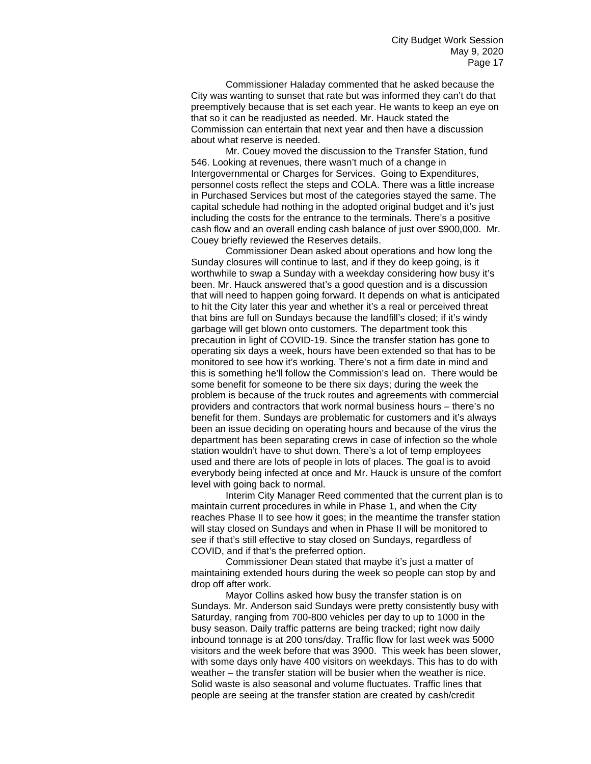Commissioner Haladay commented that he asked because the City was wanting to sunset that rate but was informed they can't do that preemptively because that is set each year. He wants to keep an eye on that so it can be readjusted as needed. Mr. Hauck stated the Commission can entertain that next year and then have a discussion about what reserve is needed.

Mr. Couey moved the discussion to the Transfer Station, fund 546. Looking at revenues, there wasn't much of a change in Intergovernmental or Charges for Services. Going to Expenditures, personnel costs reflect the steps and COLA. There was a little increase in Purchased Services but most of the categories stayed the same. The capital schedule had nothing in the adopted original budget and it's just including the costs for the entrance to the terminals. There's a positive cash flow and an overall ending cash balance of just over \$900,000. Mr. Couey briefly reviewed the Reserves details.

Commissioner Dean asked about operations and how long the Sunday closures will continue to last, and if they do keep going, is it worthwhile to swap a Sunday with a weekday considering how busy it's been. Mr. Hauck answered that's a good question and is a discussion that will need to happen going forward. It depends on what is anticipated to hit the City later this year and whether it's a real or perceived threat that bins are full on Sundays because the landfill's closed; if it's windy garbage will get blown onto customers. The department took this precaution in light of COVID-19. Since the transfer station has gone to operating six days a week, hours have been extended so that has to be monitored to see how it's working. There's not a firm date in mind and this is something he'll follow the Commission's lead on. There would be some benefit for someone to be there six days; during the week the problem is because of the truck routes and agreements with commercial providers and contractors that work normal business hours – there's no benefit for them. Sundays are problematic for customers and it's always been an issue deciding on operating hours and because of the virus the department has been separating crews in case of infection so the whole station wouldn't have to shut down. There's a lot of temp employees used and there are lots of people in lots of places. The goal is to avoid everybody being infected at once and Mr. Hauck is unsure of the comfort level with going back to normal.

Interim City Manager Reed commented that the current plan is to maintain current procedures in while in Phase 1, and when the City reaches Phase II to see how it goes; in the meantime the transfer station will stay closed on Sundays and when in Phase II will be monitored to see if that's still effective to stay closed on Sundays, regardless of COVID, and if that's the preferred option.

Commissioner Dean stated that maybe it's just a matter of maintaining extended hours during the week so people can stop by and drop off after work.

Mayor Collins asked how busy the transfer station is on Sundays. Mr. Anderson said Sundays were pretty consistently busy with Saturday, ranging from 700-800 vehicles per day to up to 1000 in the busy season. Daily traffic patterns are being tracked; right now daily inbound tonnage is at 200 tons/day. Traffic flow for last week was 5000 visitors and the week before that was 3900. This week has been slower, with some days only have 400 visitors on weekdays. This has to do with weather – the transfer station will be busier when the weather is nice. Solid waste is also seasonal and volume fluctuates. Traffic lines that people are seeing at the transfer station are created by cash/credit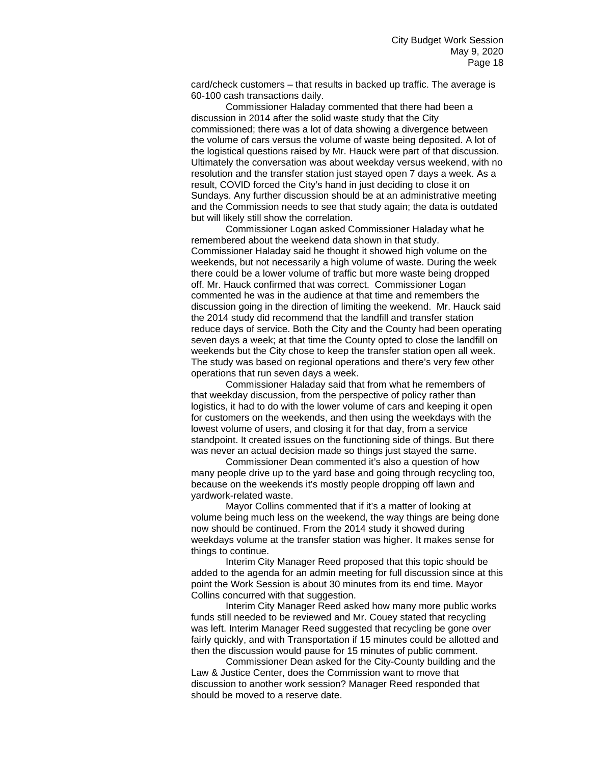card/check customers – that results in backed up traffic. The average is 60-100 cash transactions daily.

Commissioner Haladay commented that there had been a discussion in 2014 after the solid waste study that the City commissioned; there was a lot of data showing a divergence between the volume of cars versus the volume of waste being deposited. A lot of the logistical questions raised by Mr. Hauck were part of that discussion. Ultimately the conversation was about weekday versus weekend, with no resolution and the transfer station just stayed open 7 days a week. As a result, COVID forced the City's hand in just deciding to close it on Sundays. Any further discussion should be at an administrative meeting and the Commission needs to see that study again; the data is outdated but will likely still show the correlation.

Commissioner Logan asked Commissioner Haladay what he remembered about the weekend data shown in that study. Commissioner Haladay said he thought it showed high volume on the weekends, but not necessarily a high volume of waste. During the week there could be a lower volume of traffic but more waste being dropped off. Mr. Hauck confirmed that was correct. Commissioner Logan commented he was in the audience at that time and remembers the discussion going in the direction of limiting the weekend. Mr. Hauck said the 2014 study did recommend that the landfill and transfer station reduce days of service. Both the City and the County had been operating seven days a week; at that time the County opted to close the landfill on weekends but the City chose to keep the transfer station open all week. The study was based on regional operations and there's very few other operations that run seven days a week.

Commissioner Haladay said that from what he remembers of that weekday discussion, from the perspective of policy rather than logistics, it had to do with the lower volume of cars and keeping it open for customers on the weekends, and then using the weekdays with the lowest volume of users, and closing it for that day, from a service standpoint. It created issues on the functioning side of things. But there was never an actual decision made so things just stayed the same.

Commissioner Dean commented it's also a question of how many people drive up to the yard base and going through recycling too, because on the weekends it's mostly people dropping off lawn and yardwork-related waste.

Mayor Collins commented that if it's a matter of looking at volume being much less on the weekend, the way things are being done now should be continued. From the 2014 study it showed during weekdays volume at the transfer station was higher. It makes sense for things to continue.

Interim City Manager Reed proposed that this topic should be added to the agenda for an admin meeting for full discussion since at this point the Work Session is about 30 minutes from its end time. Mayor Collins concurred with that suggestion.

Interim City Manager Reed asked how many more public works funds still needed to be reviewed and Mr. Couey stated that recycling was left. Interim Manager Reed suggested that recycling be gone over fairly quickly, and with Transportation if 15 minutes could be allotted and then the discussion would pause for 15 minutes of public comment.

Commissioner Dean asked for the City-County building and the Law & Justice Center, does the Commission want to move that discussion to another work session? Manager Reed responded that should be moved to a reserve date.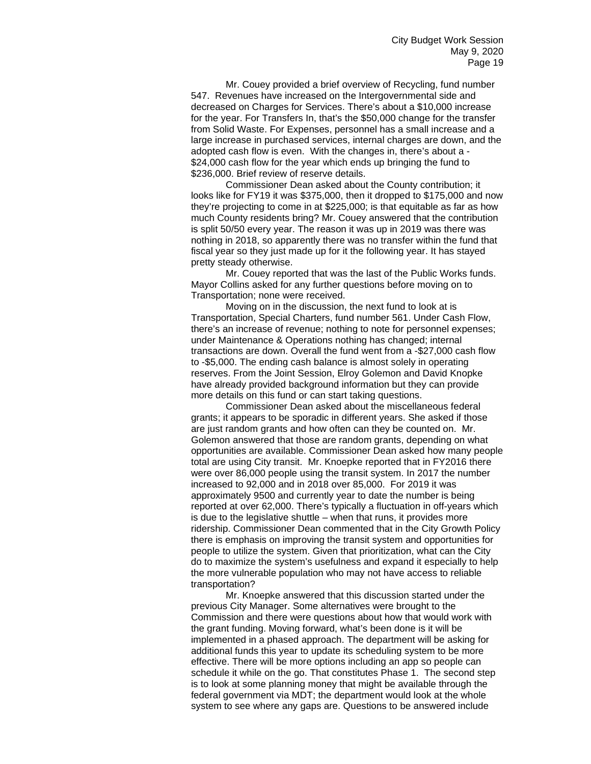Mr. Couey provided a brief overview of Recycling, fund number 547. Revenues have increased on the Intergovernmental side and decreased on Charges for Services. There's about a \$10,000 increase for the year. For Transfers In, that's the \$50,000 change for the transfer from Solid Waste. For Expenses, personnel has a small increase and a large increase in purchased services, internal charges are down, and the adopted cash flow is even. With the changes in, there's about a - \$24,000 cash flow for the year which ends up bringing the fund to \$236,000. Brief review of reserve details.

Commissioner Dean asked about the County contribution; it looks like for FY19 it was \$375,000, then it dropped to \$175,000 and now they're projecting to come in at \$225,000; is that equitable as far as how much County residents bring? Mr. Couey answered that the contribution is split 50/50 every year. The reason it was up in 2019 was there was nothing in 2018, so apparently there was no transfer within the fund that fiscal year so they just made up for it the following year. It has stayed pretty steady otherwise.

Mr. Couey reported that was the last of the Public Works funds. Mayor Collins asked for any further questions before moving on to Transportation; none were received.

Moving on in the discussion, the next fund to look at is Transportation, Special Charters, fund number 561. Under Cash Flow, there's an increase of revenue; nothing to note for personnel expenses; under Maintenance & Operations nothing has changed; internal transactions are down. Overall the fund went from a -\$27,000 cash flow to -\$5,000. The ending cash balance is almost solely in operating reserves. From the Joint Session, Elroy Golemon and David Knopke have already provided background information but they can provide more details on this fund or can start taking questions.

Commissioner Dean asked about the miscellaneous federal grants; it appears to be sporadic in different years. She asked if those are just random grants and how often can they be counted on. Mr. Golemon answered that those are random grants, depending on what opportunities are available. Commissioner Dean asked how many people total are using City transit. Mr. Knoepke reported that in FY2016 there were over 86,000 people using the transit system. In 2017 the number increased to 92,000 and in 2018 over 85,000. For 2019 it was approximately 9500 and currently year to date the number is being reported at over 62,000. There's typically a fluctuation in off-years which is due to the legislative shuttle – when that runs, it provides more ridership. Commissioner Dean commented that in the City Growth Policy there is emphasis on improving the transit system and opportunities for people to utilize the system. Given that prioritization, what can the City do to maximize the system's usefulness and expand it especially to help the more vulnerable population who may not have access to reliable transportation?

Mr. Knoepke answered that this discussion started under the previous City Manager. Some alternatives were brought to the Commission and there were questions about how that would work with the grant funding. Moving forward, what's been done is it will be implemented in a phased approach. The department will be asking for additional funds this year to update its scheduling system to be more effective. There will be more options including an app so people can schedule it while on the go. That constitutes Phase 1. The second step is to look at some planning money that might be available through the federal government via MDT; the department would look at the whole system to see where any gaps are. Questions to be answered include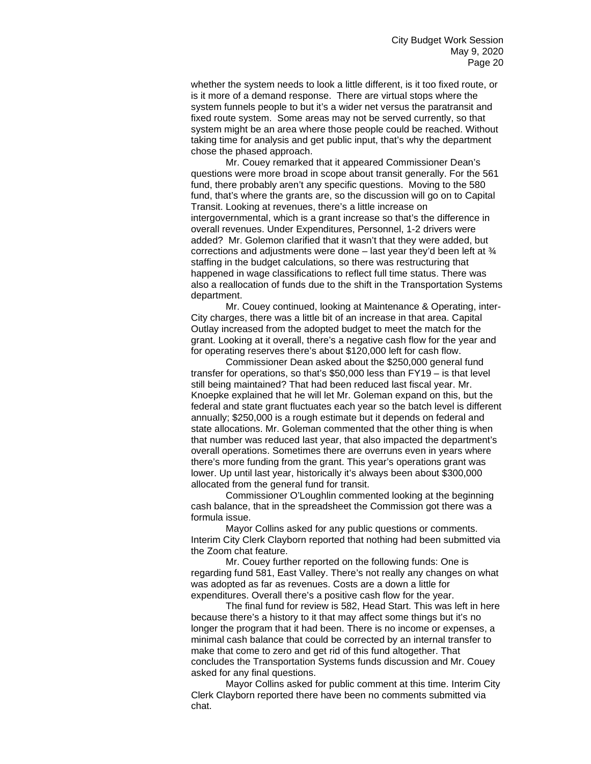whether the system needs to look a little different, is it too fixed route, or is it more of a demand response. There are virtual stops where the system funnels people to but it's a wider net versus the paratransit and fixed route system. Some areas may not be served currently, so that system might be an area where those people could be reached. Without taking time for analysis and get public input, that's why the department chose the phased approach.

Mr. Couey remarked that it appeared Commissioner Dean's questions were more broad in scope about transit generally. For the 561 fund, there probably aren't any specific questions. Moving to the 580 fund, that's where the grants are, so the discussion will go on to Capital Transit. Looking at revenues, there's a little increase on intergovernmental, which is a grant increase so that's the difference in overall revenues. Under Expenditures, Personnel, 1-2 drivers were added? Mr. Golemon clarified that it wasn't that they were added, but corrections and adjustments were done – last year they'd been left at  $\frac{3}{4}$ staffing in the budget calculations, so there was restructuring that happened in wage classifications to reflect full time status. There was also a reallocation of funds due to the shift in the Transportation Systems department.

Mr. Couey continued, looking at Maintenance & Operating, inter-City charges, there was a little bit of an increase in that area. Capital Outlay increased from the adopted budget to meet the match for the grant. Looking at it overall, there's a negative cash flow for the year and for operating reserves there's about \$120,000 left for cash flow.

Commissioner Dean asked about the \$250,000 general fund transfer for operations, so that's \$50,000 less than FY19 – is that level still being maintained? That had been reduced last fiscal year. Mr. Knoepke explained that he will let Mr. Goleman expand on this, but the federal and state grant fluctuates each year so the batch level is different annually; \$250,000 is a rough estimate but it depends on federal and state allocations. Mr. Goleman commented that the other thing is when that number was reduced last year, that also impacted the department's overall operations. Sometimes there are overruns even in years where there's more funding from the grant. This year's operations grant was lower. Up until last year, historically it's always been about \$300,000 allocated from the general fund for transit.

Commissioner O'Loughlin commented looking at the beginning cash balance, that in the spreadsheet the Commission got there was a formula issue.

Mayor Collins asked for any public questions or comments. Interim City Clerk Clayborn reported that nothing had been submitted via the Zoom chat feature.

Mr. Couey further reported on the following funds: One is regarding fund 581, East Valley. There's not really any changes on what was adopted as far as revenues. Costs are a down a little for expenditures. Overall there's a positive cash flow for the year.

The final fund for review is 582, Head Start. This was left in here because there's a history to it that may affect some things but it's no longer the program that it had been. There is no income or expenses, a minimal cash balance that could be corrected by an internal transfer to make that come to zero and get rid of this fund altogether. That concludes the Transportation Systems funds discussion and Mr. Couey asked for any final questions.

Mayor Collins asked for public comment at this time. Interim City Clerk Clayborn reported there have been no comments submitted via chat.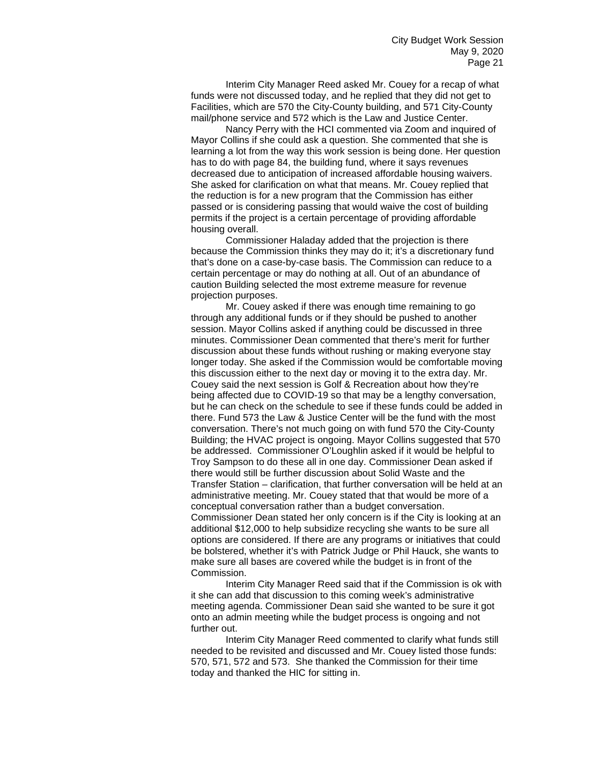Interim City Manager Reed asked Mr. Couey for a recap of what funds were not discussed today, and he replied that they did not get to Facilities, which are 570 the City-County building, and 571 City-County mail/phone service and 572 which is the Law and Justice Center.

Nancy Perry with the HCI commented via Zoom and inquired of Mayor Collins if she could ask a question. She commented that she is learning a lot from the way this work session is being done. Her question has to do with page 84, the building fund, where it says revenues decreased due to anticipation of increased affordable housing waivers. She asked for clarification on what that means. Mr. Couey replied that the reduction is for a new program that the Commission has either passed or is considering passing that would waive the cost of building permits if the project is a certain percentage of providing affordable housing overall.

Commissioner Haladay added that the projection is there because the Commission thinks they may do it; it's a discretionary fund that's done on a case-by-case basis. The Commission can reduce to a certain percentage or may do nothing at all. Out of an abundance of caution Building selected the most extreme measure for revenue projection purposes.

Mr. Couey asked if there was enough time remaining to go through any additional funds or if they should be pushed to another session. Mayor Collins asked if anything could be discussed in three minutes. Commissioner Dean commented that there's merit for further discussion about these funds without rushing or making everyone stay longer today. She asked if the Commission would be comfortable moving this discussion either to the next day or moving it to the extra day. Mr. Couey said the next session is Golf & Recreation about how they're being affected due to COVID-19 so that may be a lengthy conversation, but he can check on the schedule to see if these funds could be added in there. Fund 573 the Law & Justice Center will be the fund with the most conversation. There's not much going on with fund 570 the City-County Building; the HVAC project is ongoing. Mayor Collins suggested that 570 be addressed. Commissioner O'Loughlin asked if it would be helpful to Troy Sampson to do these all in one day. Commissioner Dean asked if there would still be further discussion about Solid Waste and the Transfer Station – clarification, that further conversation will be held at an administrative meeting. Mr. Couey stated that that would be more of a conceptual conversation rather than a budget conversation. Commissioner Dean stated her only concern is if the City is looking at an additional \$12,000 to help subsidize recycling she wants to be sure all options are considered. If there are any programs or initiatives that could be bolstered, whether it's with Patrick Judge or Phil Hauck, she wants to make sure all bases are covered while the budget is in front of the Commission.

Interim City Manager Reed said that if the Commission is ok with it she can add that discussion to this coming week's administrative meeting agenda. Commissioner Dean said she wanted to be sure it got onto an admin meeting while the budget process is ongoing and not further out.

Interim City Manager Reed commented to clarify what funds still needed to be revisited and discussed and Mr. Couey listed those funds: 570, 571, 572 and 573. She thanked the Commission for their time today and thanked the HIC for sitting in.